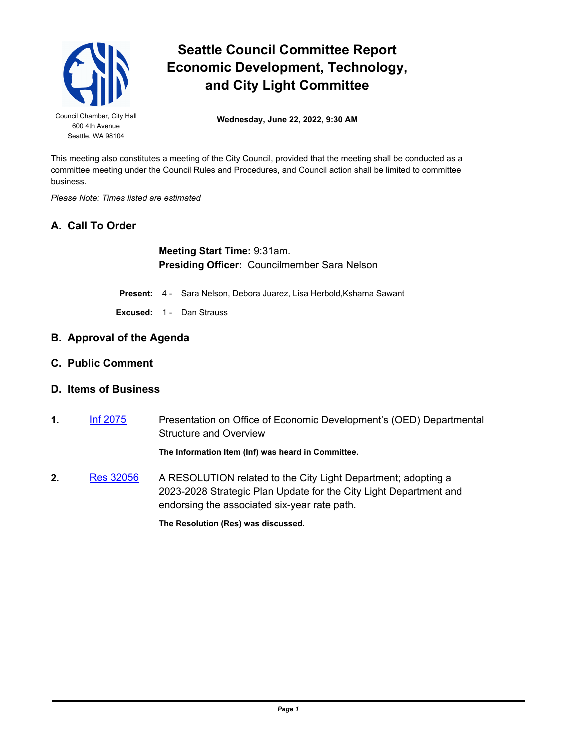

## **Seattle Council Committee Report Economic Development, Technology, and City Light Committee**

Seattle, WA 98104

Council Chamber, City Hall<br> **Wednesday, June 22, 2022, 9:30 AM** 

This meeting also constitutes a meeting of the City Council, provided that the meeting shall be conducted as a committee meeting under the Council Rules and Procedures, and Council action shall be limited to committee business.

*Please Note: Times listed are estimated*

## **A. Call To Order**

**Meeting Start Time:** 9:31am. **Presiding Officer:** Councilmember Sara Nelson

**Present:** 4 - Sara Nelson, Debora Juarez, Lisa Herbold,Kshama Sawant

**Excused:** 1 - Dan Strauss

- **B. Approval of the Agenda**
- **C. Public Comment**

## **D. Items of Business**

**1.** [Inf 2075](http://seattle.legistar.com/gateway.aspx?m=l&id=/matter.aspx?key=13066) Presentation on Office of Economic Development's (OED) Departmental Structure and Overview

**The Information Item (Inf) was heard in Committee.**

**2.** [Res 32056](http://seattle.legistar.com/gateway.aspx?m=l&id=/matter.aspx?key=12964) A RESOLUTION related to the City Light Department; adopting a 2023-2028 Strategic Plan Update for the City Light Department and endorsing the associated six-year rate path.

**The Resolution (Res) was discussed.**